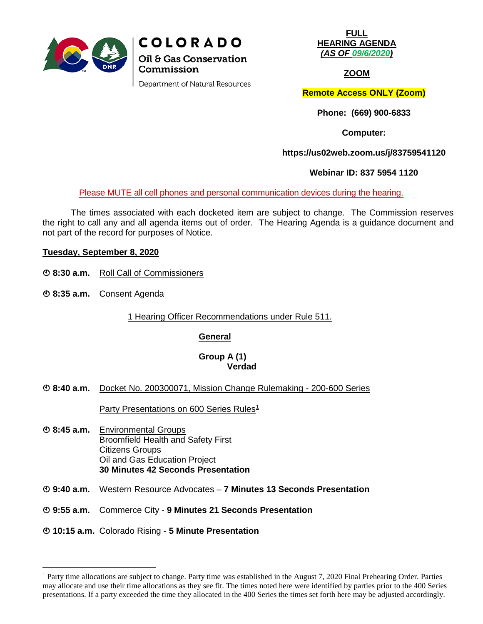

Department of Natural Resources

**FULL HEARING AGENDA** *(AS OF 09/6/2020)*

**ZOOM**

**Remote Access ONLY (Zoom)**

**Phone: (669) 900-6833**

**Computer:**

**https://us02web.zoom.us/j/83759541120**

**Webinar ID: 837 5954 1120**

Please MUTE all cell phones and personal communication devices during the hearing.

The times associated with each docketed item are subject to change. The Commission reserves the right to call any and all agenda items out of order. The Hearing Agenda is a guidance document and not part of the record for purposes of Notice.

### **Tuesday, September 8, 2020**

- **8:30 a.m.** Roll Call of Commissioners
- **8:35 a.m.** Consent Agenda

1 Hearing Officer Recommendations under Rule 511.

### **General**

# **Group A (1) Verdad**

**8:40 a.m.** Docket No. 200300071, Mission Change Rulemaking - 200-600 Series

Party Presentations on 600 Series Rules<sup>[1](#page-0-0)</sup>

- **8:45 a.m.** Environmental Groups Broomfield Health and Safety First Citizens Groups Oil and Gas Education Project **30 Minutes 42 Seconds Presentation**
- **9:40 a.m.** Western Resource Advocates **7 Minutes 13 Seconds Presentation**
- **9:55 a.m.** Commerce City **9 Minutes 21 Seconds Presentation**

### **10:15 a.m.** Colorado Rising - **5 Minute Presentation**

<span id="page-0-0"></span> <sup>1</sup> Party time allocations are subject to change. Party time was established in the August 7, 2020 Final Prehearing Order. Parties may allocate and use their time allocations as they see fit. The times noted here were identified by parties prior to the 400 Series presentations. If a party exceeded the time they allocated in the 400 Series the times set forth here may be adjusted accordingly.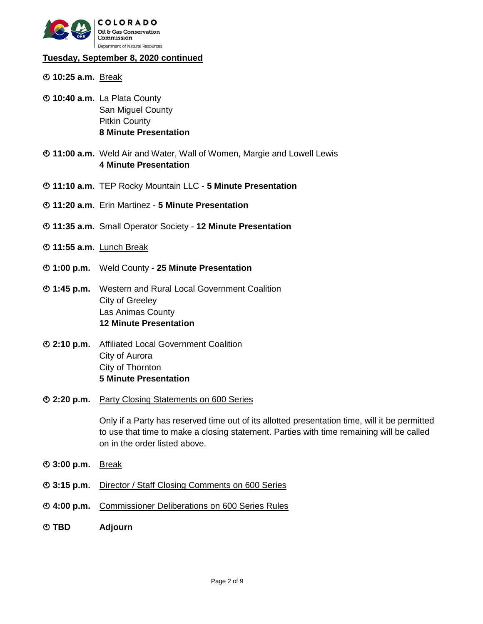

# **Tuesday, September 8, 2020 continued**

- **10:25 a.m.** Break
- **10:40 a.m.** La Plata County San Miguel County Pitkin County **8 Minute Presentation**
- **11:00 a.m.** Weld Air and Water, Wall of Women, Margie and Lowell Lewis **4 Minute Presentation**
- **11:10 a.m.** TEP Rocky Mountain LLC **5 Minute Presentation**
- **11:20 a.m.** Erin Martinez **5 Minute Presentation**
- **11:35 a.m.** Small Operator Society **12 Minute Presentation**
- **11:55 a.m.** Lunch Break
- **1:00 p.m.** Weld County **25 Minute Presentation**
- **1:45 p.m.** Western and Rural Local Government Coalition City of Greeley Las Animas County **12 Minute Presentation**
- **2:10 p.m.** Affiliated Local Government Coalition City of Aurora City of Thornton **5 Minute Presentation**
- **2:20 p.m.** Party Closing Statements on 600 Series

Only if a Party has reserved time out of its allotted presentation time, will it be permitted to use that time to make a closing statement. Parties with time remaining will be called on in the order listed above.

- **3:00 p.m.** Break
- **3:15 p.m.** Director / Staff Closing Comments on 600 Series
- **4:00 p.m.** Commissioner Deliberations on 600 Series Rules
- **TBD Adjourn**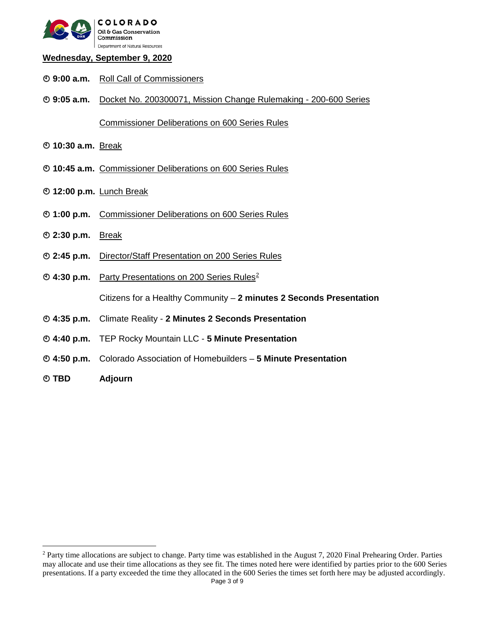

### **Wednesday, September 9, 2020**

- **9:00 a.m.** Roll Call of Commissioners
- **9:05 a.m.** Docket No. 200300071, Mission Change Rulemaking 200-600 Series

Commissioner Deliberations on 600 Series Rules

- **10:30 a.m.** Break
- **10:45 a.m.** Commissioner Deliberations on 600 Series Rules
- **12:00 p.m.** Lunch Break
- **1:00 p.m.** Commissioner Deliberations on 600 Series Rules
- **2:30 p.m.** Break
- **2:45 p.m.** Director/Staff Presentation on 200 Series Rules
- **4:30 p.m.** Party Presentations on 200 Series Rules[2](#page-2-0)

Citizens for a Healthy Community – **2 minutes 2 Seconds Presentation**

- **4:35 p.m.** Climate Reality **2 Minutes 2 Seconds Presentation**
- **4:40 p.m.** TEP Rocky Mountain LLC **5 Minute Presentation**
- **4:50 p.m.** Colorado Association of Homebuilders **5 Minute Presentation**
- **TBD Adjourn**

<span id="page-2-0"></span>Page 3 of 9 <sup>2</sup> Party time allocations are subject to change. Party time was established in the August 7, 2020 Final Prehearing Order. Parties may allocate and use their time allocations as they see fit. The times noted here were identified by parties prior to the 600 Series presentations. If a party exceeded the time they allocated in the 600 Series the times set forth here may be adjusted accordingly.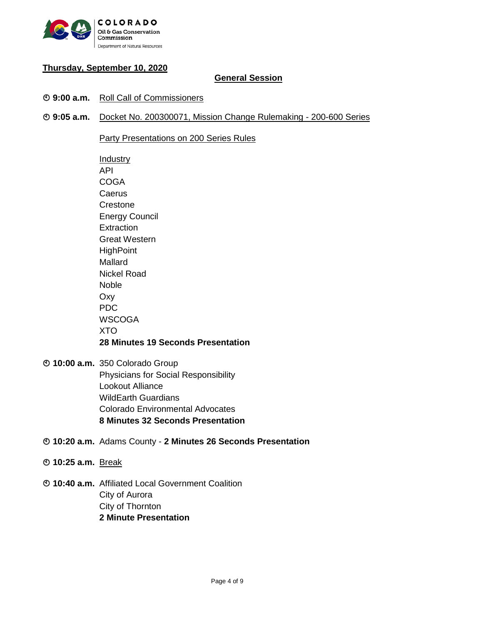

# **Thursday, September 10, 2020**

# **General Session**

- **9:00 a.m.** Roll Call of Commissioners
- **9:05 a.m.** Docket No. 200300071, Mission Change Rulemaking 200-600 Series

Party Presentations on 200 Series Rules

**Industry** API **COGA** Caerus **Crestone** Energy Council **Extraction** Great Western **HighPoint** Mallard Nickel Road Noble Oxy PDC **WSCOGA** XTO **28 Minutes 19 Seconds Presentation**

- **10:00 a.m.** 350 Colorado Group Physicians for Social Responsibility Lookout Alliance WildEarth Guardians Colorado Environmental Advocates **8 Minutes 32 Seconds Presentation**
- **10:20 a.m.** Adams County **2 Minutes 26 Seconds Presentation**
- **10:25 a.m.** Break
- **10:40 a.m.** Affiliated Local Government Coalition City of Aurora City of Thornton **2 Minute Presentation**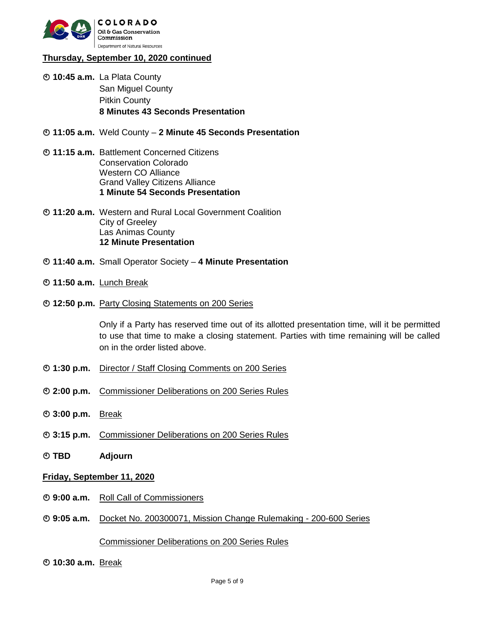

# **Thursday, September 10, 2020 continued**

- **10:45 a.m.** La Plata County San Miguel County Pitkin County **8 Minutes 43 Seconds Presentation**
- **11:05 a.m.** Weld County **2 Minute 45 Seconds Presentation**
- **11:15 a.m.** Battlement Concerned Citizens Conservation Colorado Western CO Alliance Grand Valley Citizens Alliance **1 Minute 54 Seconds Presentation**
- **11:20 a.m.** Western and Rural Local Government Coalition City of Greeley Las Animas County **12 Minute Presentation**
- **11:40 a.m.** Small Operator Society **4 Minute Presentation**
- **11:50 a.m.** Lunch Break
- **12:50 p.m.** Party Closing Statements on 200 Series

Only if a Party has reserved time out of its allotted presentation time, will it be permitted to use that time to make a closing statement. Parties with time remaining will be called on in the order listed above.

- **1:30 p.m.** Director / Staff Closing Comments on 200 Series
- **2:00 p.m.** Commissioner Deliberations on 200 Series Rules
- **3:00 p.m.** Break
- **3:15 p.m.** Commissioner Deliberations on 200 Series Rules
- **TBD Adjourn**

#### **Friday, September 11, 2020**

- **9:00 a.m.** Roll Call of Commissioners
- **9:05 a.m.** Docket No. 200300071, Mission Change Rulemaking 200-600 Series

### Commissioner Deliberations on 200 Series Rules

**10:30 a.m.** Break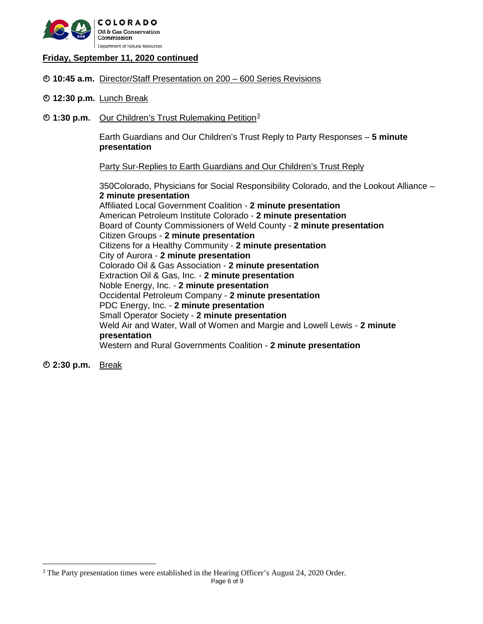

### **Friday, September 11, 2020 continued**

- **10:45 a.m.** Director/Staff Presentation on 200 600 Series Revisions
- **12:30 p.m.** Lunch Break
- **1:[3](#page-5-0)0 p.m.** Our Children's Trust Rulemaking Petition<sup>3</sup>

Earth Guardians and Our Children's Trust Reply to Party Responses – **5 minute presentation** 

Party Sur-Replies to Earth Guardians and Our Children's Trust Reply

350Colorado, Physicians for Social Responsibility Colorado, and the Lookout Alliance – **2 minute presentation** Affiliated Local Government Coalition - **2 minute presentation** American Petroleum Institute Colorado - **2 minute presentation** Board of County Commissioners of Weld County - **2 minute presentation** Citizen Groups - **2 minute presentation** Citizens for a Healthy Community - **2 minute presentation** City of Aurora - **2 minute presentation** Colorado Oil & Gas Association - **2 minute presentation** Extraction Oil & Gas, Inc. - **2 minute presentation** Noble Energy, Inc. - **2 minute presentation** Occidental Petroleum Company - **2 minute presentation** PDC Energy, Inc. - **2 minute presentation** Small Operator Society - **2 minute presentation** Weld Air and Water, Wall of Women and Margie and Lowell Lewis - **2 minute presentation** Western and Rural Governments Coalition - **2 minute presentation**

**2:30 p.m.** Break

<span id="page-5-0"></span><sup>&</sup>lt;sup>3</sup> The Party presentation times were established in the Hearing Officer's August 24, 2020 Order.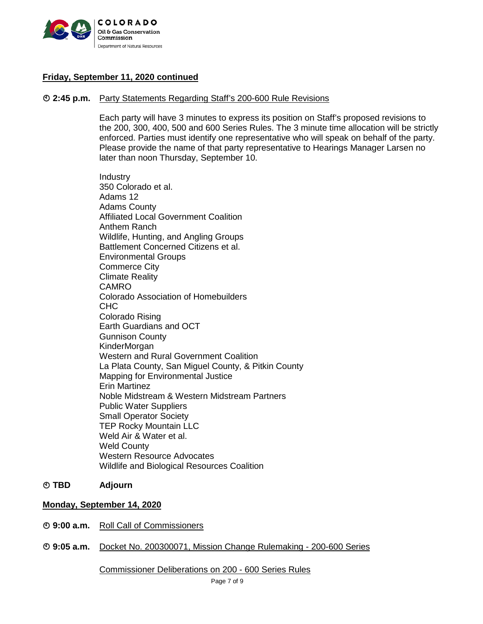

# **Friday, September 11, 2020 continued**

#### **2:45 p.m.** Party Statements Regarding Staff's 200-600 Rule Revisions

Each party will have 3 minutes to express its position on Staff's proposed revisions to the 200, 300, 400, 500 and 600 Series Rules. The 3 minute time allocation will be strictly enforced. Parties must identify one representative who will speak on behalf of the party. Please provide the name of that party representative to Hearings Manager Larsen no later than noon Thursday, September 10.

Industry 350 Colorado et al. Adams 12 Adams County Affiliated Local Government Coalition Anthem Ranch Wildlife, Hunting, and Angling Groups Battlement Concerned Citizens et al. Environmental Groups Commerce City Climate Reality CAMRO Colorado Association of Homebuilders C<sub>HC</sub> Colorado Rising Earth Guardians and OCT Gunnison County **KinderMorgan** Western and Rural Government Coalition La Plata County, San Miguel County, & Pitkin County Mapping for Environmental Justice Erin Martinez Noble Midstream & Western Midstream Partners Public Water Suppliers Small Operator Society TEP Rocky Mountain LLC Weld Air & Water et al. Weld County Western Resource Advocates Wildlife and Biological Resources Coalition

#### **TBD Adjourn**

# **Monday, September 14, 2020**

- **9:00 a.m.** Roll Call of Commissioners
- **9:05 a.m.** Docket No. 200300071, Mission Change Rulemaking 200-600 Series

Commissioner Deliberations on 200 - 600 Series Rules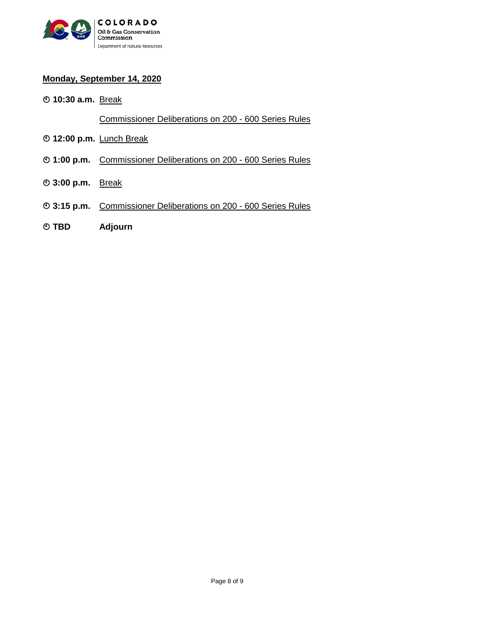

# **Monday, September 14, 2020**

**10:30 a.m.** Break

Commissioner Deliberations on 200 - 600 Series Rules

- **12:00 p.m.** Lunch Break
- **1:00 p.m.** Commissioner Deliberations on 200 600 Series Rules
- **3:00 p.m.** Break
- **3:15 p.m.** Commissioner Deliberations on 200 600 Series Rules
- **TBD Adjourn**